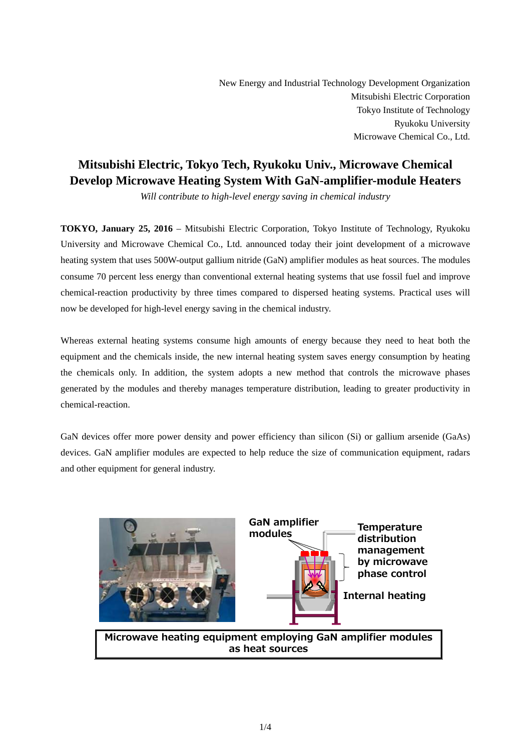New Energy and Industrial Technology Development Organization Mitsubishi Electric Corporation Tokyo Institute of Technology Ryukoku University Microwave Chemical Co., Ltd.

# **Mitsubishi Electric, Tokyo Tech, Ryukoku Univ., Microwave Chemical Develop Microwave Heating System With GaN-amplifier-module Heaters**

*Will contribute to high-level energy saving in chemical industry*

**TOKYO, January 25, 2016** – Mitsubishi Electric Corporation, Tokyo Institute of Technology, Ryukoku University and Microwave Chemical Co., Ltd. announced today their joint development of a microwave heating system that uses 500W-output gallium nitride (GaN) amplifier modules as heat sources. The modules consume 70 percent less energy than conventional external heating systems that use fossil fuel and improve chemical-reaction productivity by three times compared to dispersed heating systems. Practical uses will now be developed for high-level energy saving in the chemical industry.

Whereas external heating systems consume high amounts of energy because they need to heat both the equipment and the chemicals inside, the new internal heating system saves energy consumption by heating the chemicals only. In addition, the system adopts a new method that controls the microwave phases generated by the modules and thereby manages temperature distribution, leading to greater productivity in chemical-reaction.

GaN devices offer more power density and power efficiency than silicon (Si) or gallium arsenide (GaAs) devices. GaN amplifier modules are expected to help reduce the size of communication equipment, radars and other equipment for general industry.

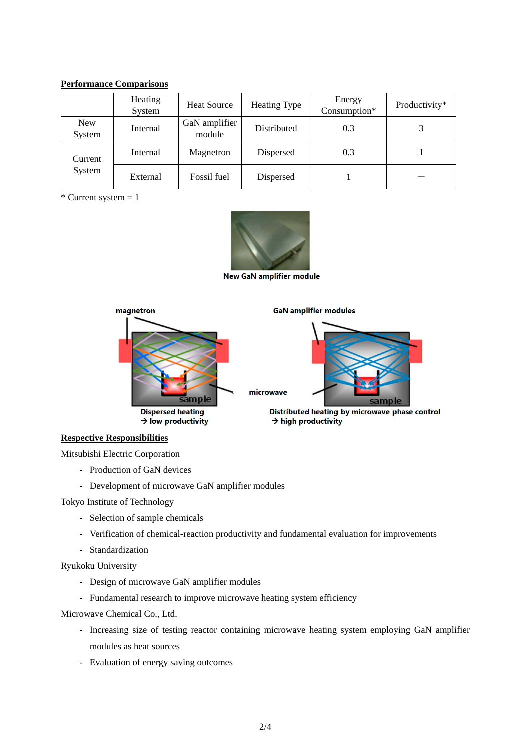## **Performance Comparisons**

|                      | Heating<br>System | <b>Heat Source</b>      | Heating Type | Energy<br>Consumption* | Productivity* |
|----------------------|-------------------|-------------------------|--------------|------------------------|---------------|
| <b>New</b><br>System | Internal          | GaN amplifier<br>module | Distributed  | 0.3                    |               |
| Current<br>System    | Internal          | Magnetron               | Dispersed    | 0.3                    |               |
|                      | External          | Fossil fuel             | Dispersed    |                        |               |

 $*$  Current system = 1



New GaN amplifier module



## **Respective Responsibilities**

Mitsubishi Electric Corporation

- Production of GaN devices
- Development of microwave GaN amplifier modules

Tokyo Institute of Technology

- Selection of sample chemicals
- Verification of chemical-reaction productivity and fundamental evaluation for improvements
- Standardization

Ryukoku University

- Design of microwave GaN amplifier modules
- Fundamental research to improve microwave heating system efficiency

Microwave Chemical Co., Ltd.

- Increasing size of testing reactor containing microwave heating system employing GaN amplifier modules as heat sources
- Evaluation of energy saving outcomes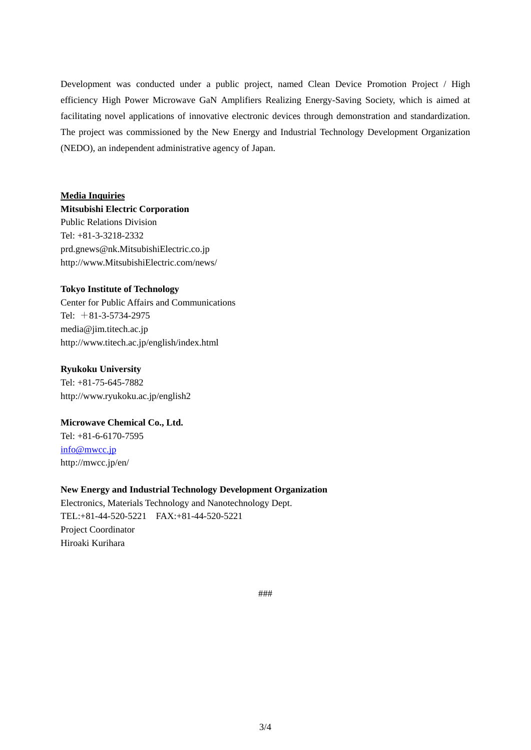Development was conducted under a public project, named Clean Device Promotion Project / High efficiency High Power Microwave GaN Amplifiers Realizing Energy-Saving Society, which is aimed at facilitating novel applications of innovative electronic devices through demonstration and standardization. The project was commissioned by the New Energy and Industrial Technology Development Organization (NEDO), an independent administrative agency of Japan.

#### **Media Inquiries**

**Mitsubishi Electric Corporation**  Public Relations Division Tel: +81-3-3218-2332 prd.gnews@nk.MitsubishiElectric.co.jp http://www.MitsubishiElectric.com/news/

#### **Tokyo Institute of Technology**

Center for Public Affairs and Communications Tel: +81-3-5734-2975 media@jim.titech.ac.jp http://www.titech.ac.jp/english/index.html

#### **Ryukoku University**

Tel: +81-75-645-7882 http://www.ryukoku.ac.jp/english2

## **Microwave Chemical Co., Ltd.**

Tel: +81-6-6170-7595 info@mwcc.jp http://mwcc.jp/en/

#### **New Energy and Industrial Technology Development Organization**

Electronics, Materials Technology and Nanotechnology Dept. TEL:+81-44-520-5221 FAX:+81-44-520-5221 Project Coordinator Hiroaki Kurihara

###